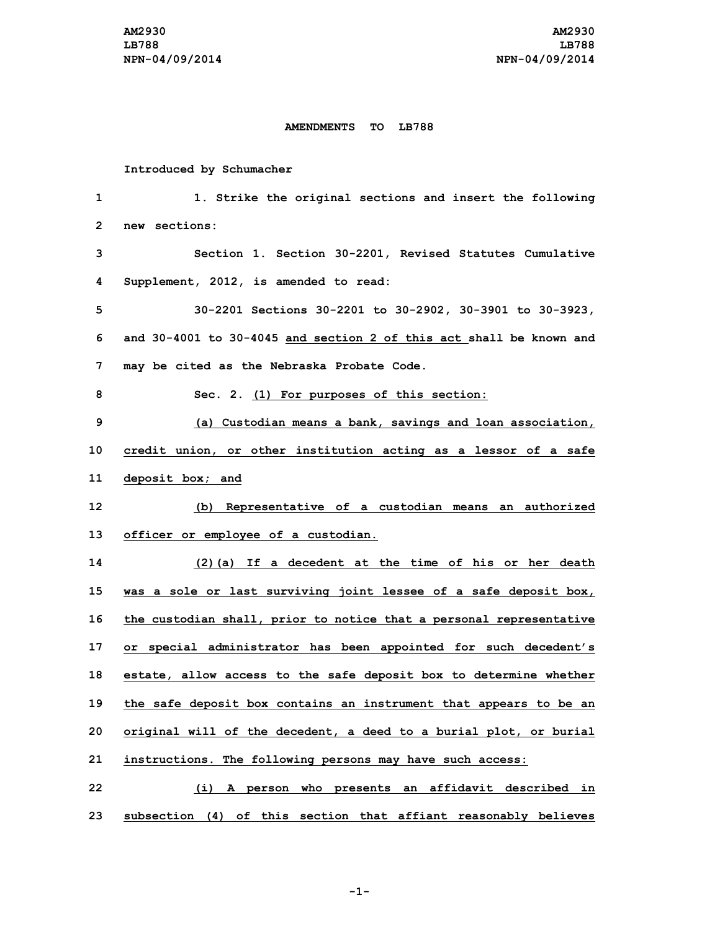## **AMENDMENTS TO LB788**

## **Introduced by Schumacher**

| 1  | 1. Strike the original sections and insert the following            |
|----|---------------------------------------------------------------------|
| 2  | new sections:                                                       |
| 3  | Section 1. Section 30-2201, Revised Statutes Cumulative             |
| 4  | Supplement, 2012, is amended to read:                               |
| 5  | 30-2201 Sections 30-2201 to 30-2902, 30-3901 to 30-3923,            |
| 6  | and 30-4001 to 30-4045 and section 2 of this act shall be known and |
| 7  | may be cited as the Nebraska Probate Code.                          |
| 8  | Sec. 2. (1) For purposes of this section:                           |
| 9  | (a) Custodian means a bank, savings and loan association,           |
| 10 | credit union, or other institution acting as a lessor of a safe     |
| 11 | deposit box; and                                                    |
| 12 | (b) Representative of a custodian means an authorized               |
| 13 | officer or employee of a custodian.                                 |
| 14 | (2) (a) If a decedent at the time of his or her death               |
| 15 | was a sole or last surviving joint lessee of a safe deposit box,    |
| 16 | the custodian shall, prior to notice that a personal representative |
| 17 | or special administrator has been appointed for such decedent's     |
| 18 | estate, allow access to the safe deposit box to determine whether   |
| 19 | the safe deposit box contains an instrument that appears to be an   |
| 20 | original will of the decedent, a deed to a burial plot, or burial   |
| 21 | instructions. The following persons may have such access:           |
| 22 | (i) A person who presents an affidavit described in                 |
| 23 | subsection (4) of this section that affiant reasonably believes     |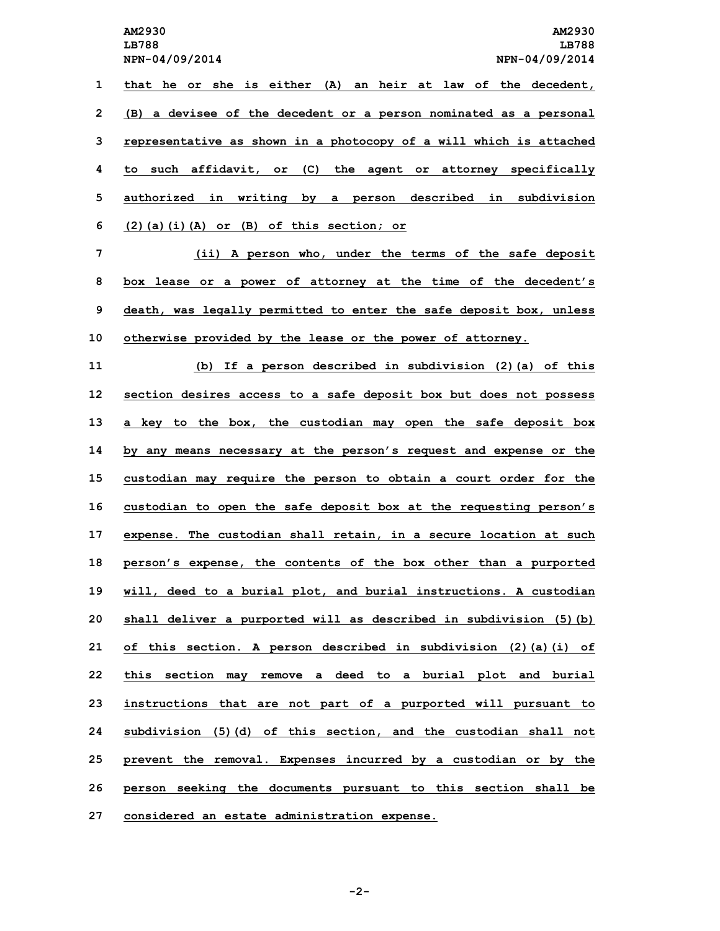**NPN-04/09/2014 NPN-04/09/2014 that he or she is either (A) an heir at law of the decedent, (B) <sup>a</sup> devisee of the decedent or <sup>a</sup> person nominated as <sup>a</sup> personal representative as shown in <sup>a</sup> photocopy of <sup>a</sup> will which is attached to such affidavit, or (C) the agent or attorney specifically authorized in writing by <sup>a</sup> person described in subdivision (2)(a)(i)(A) or (B) of this section; or (ii) <sup>A</sup> person who, under the terms of the safe deposit box lease or <sup>a</sup> power of attorney at the time of the decedent's death, was legally permitted to enter the safe deposit box, unless otherwise provided by the lease or the power of attorney. (b) If <sup>a</sup> person described in subdivision (2)(a) of this section desires access to <sup>a</sup> safe deposit box but does not possess <sup>a</sup> key to the box, the custodian may open the safe deposit box by any means necessary at the person's request and expense or the custodian may require the person to obtain <sup>a</sup> court order for the custodian to open the safe deposit box at the requesting person's expense. The custodian shall retain, in <sup>a</sup> secure location at such person's expense, the contents of the box other than <sup>a</sup> purported will, deed to <sup>a</sup> burial plot, and burial instructions. <sup>A</sup> custodian**

 **shall deliver <sup>a</sup> purported will as described in subdivision (5)(b) of this section. <sup>A</sup> person described in subdivision (2)(a)(i) of this section may remove <sup>a</sup> deed to <sup>a</sup> burial plot and burial instructions that are not part of <sup>a</sup> purported will pursuant to subdivision (5)(d) of this section, and the custodian shall not prevent the removal. Expenses incurred by <sup>a</sup> custodian or by the person seeking the documents pursuant to this section shall be considered an estate administration expense.**

**-2-**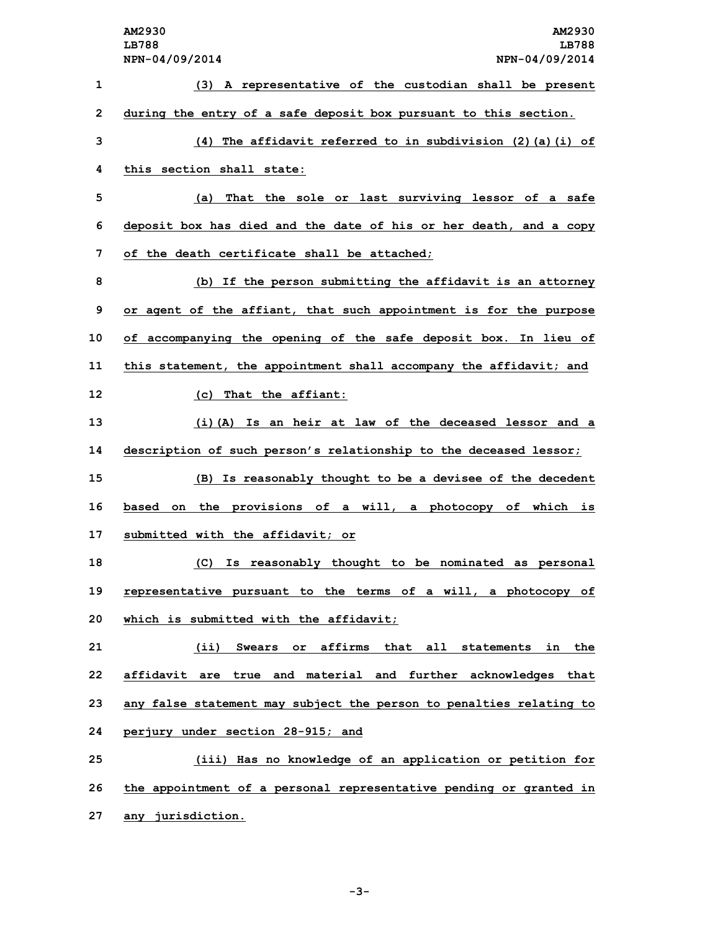**AM2930 AM2930 LB788 LB788 NPN-04/09/2014 NPN-04/09/2014 (3) <sup>A</sup> representative of the custodian shall be present during the entry of <sup>a</sup> safe deposit box pursuant to this section. (4) The affidavit referred to in subdivision (2)(a)(i) of this section shall state: (a) That the sole or last surviving lessor of <sup>a</sup> safe deposit box has died and the date of his or her death, and <sup>a</sup> copy of the death certificate shall be attached; (b) If the person submitting the affidavit is an attorney or agent of the affiant, that such appointment is for the purpose of accompanying the opening of the safe deposit box. In lieu of this statement, the appointment shall accompany the affidavit; and (c) That the affiant: (i)(A) Is an heir at law of the deceased lessor and <sup>a</sup> description of such person's relationship to the deceased lessor; (B) Is reasonably thought to be <sup>a</sup> devisee of the decedent based on the provisions of <sup>a</sup> will, <sup>a</sup> photocopy of which is submitted with the affidavit; or (C) Is reasonably thought to be nominated as personal representative pursuant to the terms of <sup>a</sup> will, <sup>a</sup> photocopy of which is submitted with the affidavit; (ii) Swears or affirms that all statements in the affidavit are true and material and further acknowledges that any false statement may subject the person to penalties relating to perjury under section 28-915; and (iii) Has no knowledge of an application or petition for the appointment of <sup>a</sup> personal representative pending or granted in**

**27 any jurisdiction.**

**-3-**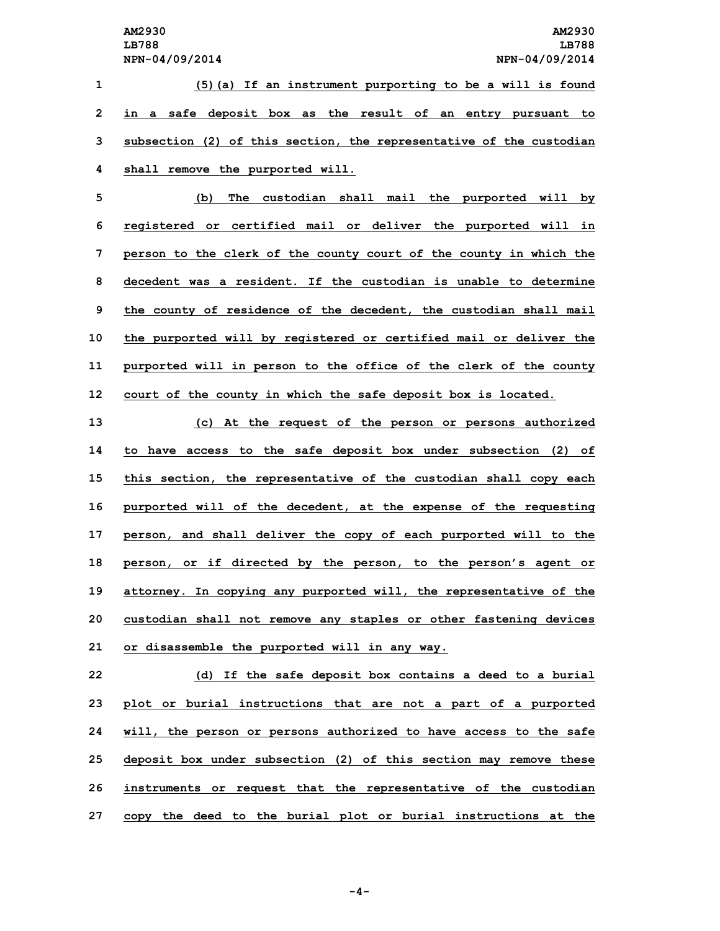**(5)(a) If an instrument purporting to be <sup>a</sup> will is found in <sup>a</sup> safe deposit box as the result of an entry pursuant to subsection (2) of this section, the representative of the custodian shall remove the purported will.**

 **(b) The custodian shall mail the purported will by registered or certified mail or deliver the purported will in person to the clerk of the county court of the county in which the decedent was a resident. If the custodian is unable to determine the county of residence of the decedent, the custodian shall mail the purported will by registered or certified mail or deliver the purported will in person to the office of the clerk of the county court of the county in which the safe deposit box is located.**

 **(c) At the request of the person or persons authorized to have access to the safe deposit box under subsection (2) of this section, the representative of the custodian shall copy each purported will of the decedent, at the expense of the requesting person, and shall deliver the copy of each purported will to the person, or if directed by the person, to the person's agent or attorney. In copying any purported will, the representative of the custodian shall not remove any staples or other fastening devices or disassemble the purported will in any way.**

 **(d) If the safe deposit box contains <sup>a</sup> deed to <sup>a</sup> burial plot or burial instructions that are not <sup>a</sup> part of <sup>a</sup> purported will, the person or persons authorized to have access to the safe deposit box under subsection (2) of this section may remove these instruments or request that the representative of the custodian copy the deed to the burial plot or burial instructions at the**

**-4-**